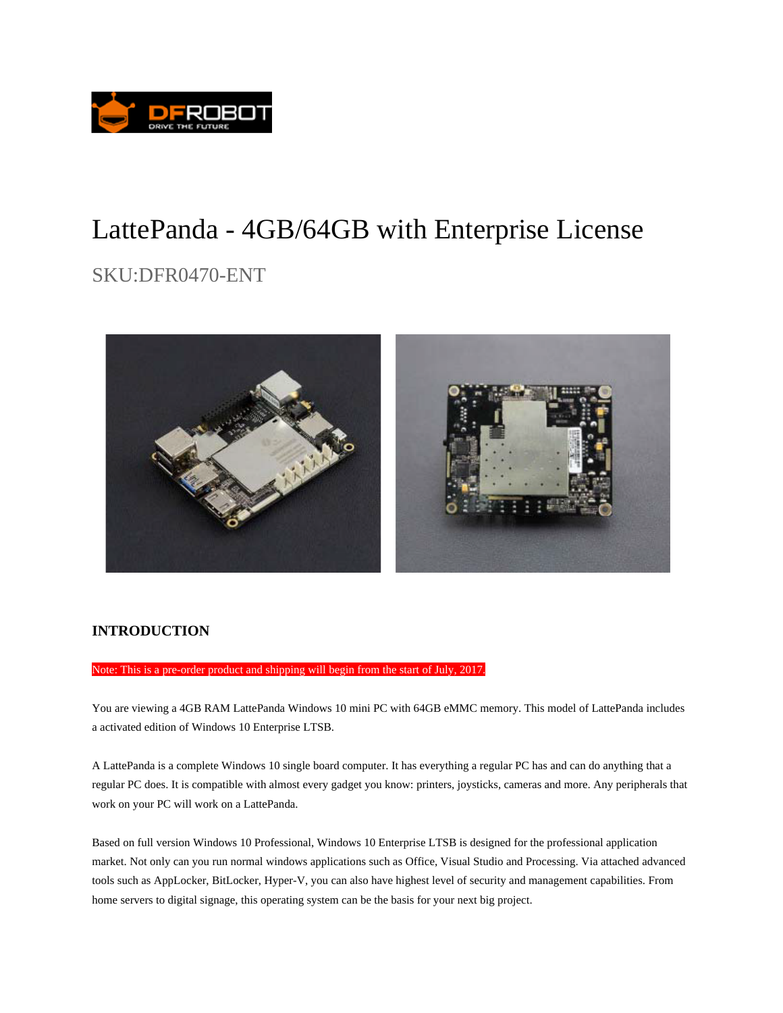

# LattePanda - 4GB/64GB with Enterprise License

## SKU:DFR0470-ENT



#### **INTRODUCTION**

Note: This is a pre-order product and shipping will begin from the start of July, 2017.

You are viewing a 4GB RAM LattePanda Windows 10 mini PC with 64GB eMMC memory. This model of LattePanda includes a activated edition of Windows 10 Enterprise LTSB.

A LattePanda is a complete Windows 10 single board computer. It has everything a regular PC has and can do anything that a regular PC does. It is compatible with almost every gadget you know: printers, joysticks, cameras and more. Any peripherals that work on your PC will work on a LattePanda.

Based on full version Windows 10 Professional, Windows 10 Enterprise LTSB is designed for the professional application market. Not only can you run normal windows applications such as Office, Visual Studio and Processing. Via attached advanced tools such as AppLocker, BitLocker, Hyper-V, you can also have highest level of security and management capabilities. From home servers to digital signage, this operating system can be the basis for your next big project.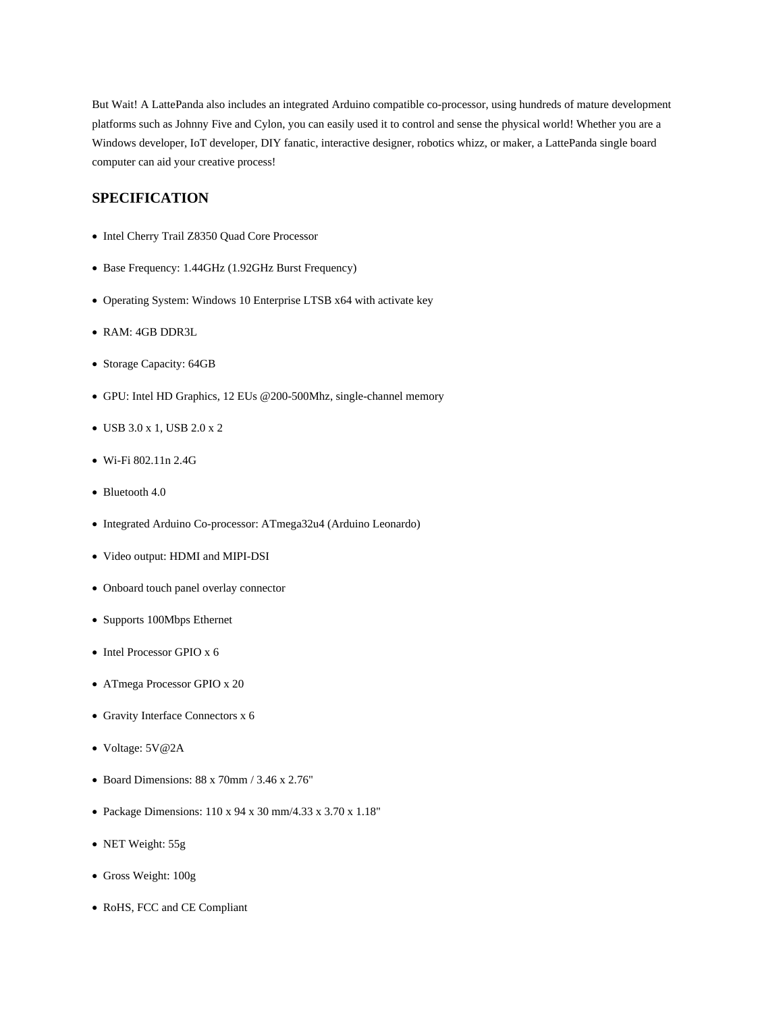But Wait! A LattePanda also includes an integrated Arduino compatible co-processor, using hundreds of mature development platforms such as Johnny Five and Cylon, you can easily used it to control and sense the physical world! Whether you are a Windows developer, IoT developer, DIY fanatic, interactive designer, robotics whizz, or maker, a LattePanda single board computer can aid your creative process!

#### **SPECIFICATION**

- Intel Cherry Trail Z8350 Quad Core Processor
- Base Frequency: 1.44GHz (1.92GHz Burst Frequency)
- Operating System: Windows 10 Enterprise LTSB x64 with activate key
- RAM: 4GB DDR3L
- Storage Capacity: 64GB
- GPU: Intel HD Graphics, 12 EUs @200-500Mhz, single-channel memory
- USB 3.0 x 1, USB 2.0 x 2
- Wi-Fi 802.11n 2.4G
- Bluetooth 4.0
- Integrated Arduino Co-processor: ATmega32u4 (Arduino Leonardo)
- Video output: HDMI and MIPI-DSI
- Onboard touch panel overlay connector
- Supports 100Mbps Ethernet
- Intel Processor GPIO x 6
- ATmega Processor GPIO x 20
- Gravity Interface Connectors x 6
- Voltage: 5V@2A
- Board Dimensions: 88 x 70mm / 3.46 x 2.76"
- Package Dimensions: 110 x 94 x 30 mm/4.33 x 3.70 x 1.18"
- NET Weight: 55g
- Gross Weight: 100g
- RoHS, FCC and CE Compliant